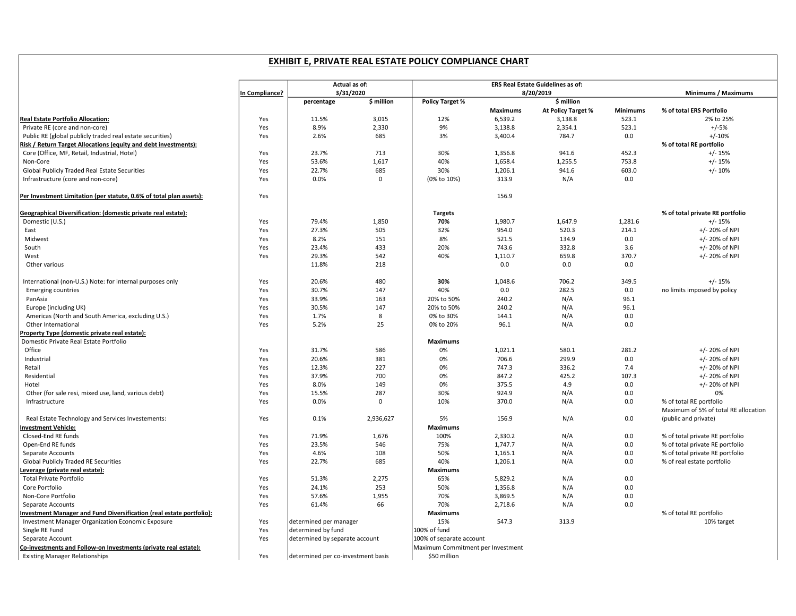## EXHIBIT E, PRIVATE REAL ESTATE POLICY COMPLIANCE CHART

|                                                                      |                | Actual as of:                      |            | ERS Real Estate Guidelines as of: |                                   |                    |                 |                                                                 |
|----------------------------------------------------------------------|----------------|------------------------------------|------------|-----------------------------------|-----------------------------------|--------------------|-----------------|-----------------------------------------------------------------|
|                                                                      | In Compliance? | 3/31/2020                          |            | 8/20/2019                         |                                   |                    |                 | Minimums / Maximums                                             |
|                                                                      |                | percentage                         | \$ million | <b>Policy Target %</b>            |                                   | \$ million         |                 |                                                                 |
|                                                                      |                |                                    |            |                                   | Maximums                          | At Policy Target % | <b>Minimums</b> | % of total ERS Portfolio                                        |
| Real Estate Portfolio Allocation:                                    | Yes            | 11.5%                              | 3,015      | 12%                               | 6,539.2                           | 3,138.8            | 523.1           | 2% to 25%                                                       |
| Private RE (core and non-core)                                       | Yes            | 8.9%                               | 2,330      | 9%                                | 3,138.8                           | 2,354.1            | 523.1           | $+/-5%$                                                         |
| Public RE (global publicly traded real estate securities)            | Yes            | 2.6%                               | 685        | 3%                                | 3,400.4                           | 784.7              | 0.0             | $+/-10%$                                                        |
| Risk / Return Target Allocations (equity and debt investments):      |                |                                    |            |                                   |                                   |                    |                 | % of total RE portfolio                                         |
| Core (Office, MF, Retail, Industrial, Hotel)                         | Yes            | 23.7%                              | 713        | 30%                               | 1,356.8                           | 941.6              | 452.3           | $+/- 15%$                                                       |
| Non-Core                                                             | Yes            | 53.6%                              | 1,617      | 40%                               | 1,658.4                           | 1,255.5            | 753.8           | $+/- 15%$                                                       |
| Global Publicly Traded Real Estate Securities                        | Yes            | 22.7%                              | 685        | 30%                               | 1,206.1                           | 941.6              | 603.0           | $+/- 10%$                                                       |
| Infrastructure (core and non-core)                                   | Yes            | 0.0%                               | $\Omega$   | (0% to 10%)                       | 313.9                             | N/A                | 0.0             |                                                                 |
|                                                                      |                |                                    |            |                                   |                                   |                    |                 |                                                                 |
| Per Investment Limitation (per statute, 0.6% of total plan assets):  | Yes            |                                    |            |                                   | 156.9                             |                    |                 |                                                                 |
| Geographical Diversification: (domestic private real estate):        |                |                                    |            | <b>Targets</b>                    |                                   |                    |                 | % of total private RE portfolio                                 |
| Domestic (U.S.)                                                      | Yes            | 79.4%                              | 1,850      | 70%                               | 1,980.7                           | 1,647.9            | 1,281.6         | $+/- 15%$                                                       |
| East                                                                 | Yes            | 27.3%                              | 505        | 32%                               | 954.0                             | 520.3              | 214.1           | +/- 20% of NPI                                                  |
| Midwest                                                              | Yes            | 8.2%                               | 151        | 8%                                | 521.5                             | 134.9              | 0.0             | +/- 20% of NPI                                                  |
| South                                                                | Yes            | 23.4%                              | 433        | 20%                               | 743.6                             | 332.8              | 3.6             | +/- 20% of NPI                                                  |
| West                                                                 | Yes            | 29.3%                              | 542        | 40%                               | 1,110.7                           | 659.8              | 370.7           | +/- 20% of NPI                                                  |
| Other various                                                        |                | 11.8%                              | 218        |                                   | 0.0                               | 0.0                | 0.0             |                                                                 |
| International (non-U.S.) Note: for internal purposes only            | Yes            | 20.6%                              | 480        | 30%                               | 1,048.6                           | 706.2              | 349.5           | $+/- 15%$                                                       |
| <b>Emerging countries</b>                                            | Yes            | 30.7%                              | 147        | 40%                               | 0.0                               | 282.5              | 0.0             | no limits imposed by policy                                     |
| PanAsia                                                              | Yes            | 33.9%                              | 163        | 20% to 50%                        | 240.2                             | N/A                | 96.1            |                                                                 |
| Europe (including UK)                                                | Yes            | 30.5%                              | 147        | 20% to 50%                        | 240.2                             | N/A                | 96.1            |                                                                 |
| Americas (North and South America, excluding U.S.)                   | Yes            | 1.7%                               | 8          | 0% to 30%                         | 144.1                             | N/A                | 0.0             |                                                                 |
| Other International                                                  | Yes            | 5.2%                               | 25         | 0% to 20%                         | 96.1                              | N/A                | 0.0             |                                                                 |
| Property Type (domestic private real estate):                        |                |                                    |            |                                   |                                   |                    |                 |                                                                 |
| Domestic Private Real Estate Portfolio                               |                |                                    |            | <b>Maximums</b>                   |                                   |                    |                 |                                                                 |
| Office                                                               | Yes            | 31.7%                              | 586        | 0%                                | 1,021.1                           | 580.1              | 281.2           | +/- 20% of NPI                                                  |
| Industrial                                                           | Yes            | 20.6%                              | 381        | 0%                                | 706.6                             | 299.9              | 0.0             | +/- 20% of NPI                                                  |
| Retail                                                               | Yes            | 12.3%                              | 227        | 0%                                | 747.3                             | 336.2              | 7.4             | +/- 20% of NPI                                                  |
| Residential                                                          | Yes            | 37.9%                              | 700        | 0%                                | 847.2                             | 425.2              | 107.3           | +/- 20% of NPI                                                  |
| Hotel                                                                | Yes            | 8.0%                               | 149        | 0%                                | 375.5                             | 4.9                | 0.0             | +/- 20% of NPI                                                  |
| Other (for sale resi, mixed use, land, various debt)                 | Yes            | 15.5%                              | 287        | 30%                               | 924.9                             | N/A                | 0.0             | 0%                                                              |
| Infrastructure                                                       | Yes            | 0.0%                               | 0          | 10%                               | 370.0                             | N/A                | 0.0             | % of total RE portfolio<br>Maximum of 5% of total RE allocation |
| Real Estate Technology and Services Investements:                    | Yes            | 0.1%                               | 2,936,627  | 5%                                | 156.9                             | N/A                | 0.0             | (public and private)                                            |
| <b>Investment Vehicle:</b>                                           |                |                                    |            | <b>Maximums</b>                   |                                   |                    |                 |                                                                 |
| Closed-End RE funds                                                  | Yes            | 71.9%                              | 1,676      | 100%                              | 2.330.2                           | N/A                | 0.0             | % of total private RE portfolio                                 |
| Open-End RE funds                                                    | Yes            | 23.5%                              | 546        | 75%                               | 1,747.7                           | N/A                | 0.0             | % of total private RE portfolio                                 |
| Separate Accounts                                                    | Yes            | 4.6%                               | 108        | 50%                               | 1,165.1                           | N/A                | 0.0             | % of total private RE portfolio                                 |
| <b>Global Publicly Traded RE Securities</b>                          | Yes            | 22.7%                              | 685        | 40%                               | 1,206.1                           | N/A                | 0.0             | % of real estate portfolio                                      |
| Leverage (private real estate):                                      |                |                                    |            | <b>Maximums</b>                   |                                   |                    |                 |                                                                 |
| <b>Total Private Portfolio</b>                                       | Yes            | 51.3%                              | 2,275      | 65%                               | 5,829.2                           | N/A                | 0.0             |                                                                 |
| Core Portfolio                                                       | Yes            | 24.1%                              | 253        | 50%                               | 1,356.8                           | N/A                | 0.0             |                                                                 |
| Non-Core Portfolio                                                   | Yes            | 57.6%                              | 1,955      | 70%                               | 3,869.5                           | N/A                | 0.0             |                                                                 |
| Separate Accounts                                                    | Yes            | 61.4%                              | 66         | 70%                               | 2,718.6                           | N/A                | 0.0             |                                                                 |
| Investment Manager and Fund Diversification (real estate portfolio): |                |                                    |            | <b>Maximums</b>                   |                                   |                    |                 | % of total RE portfolio                                         |
| <b>Investment Manager Organization Economic Exposure</b>             | Yes            | determined per manager             |            | 15%                               | 547.3                             | 313.9              |                 | 10% target                                                      |
| Single RE Fund                                                       | Yes            | determined by fund                 |            | 100% of fund                      |                                   |                    |                 |                                                                 |
| Separate Account                                                     | Yes            | determined by separate account     |            | 100% of separate account          |                                   |                    |                 |                                                                 |
| Co-investments and Follow-on Investments (private real estate):      |                |                                    |            |                                   | Maximum Commitment per Investment |                    |                 |                                                                 |
| <b>Existing Manager Relationships</b>                                | Yes            | determined per co-investment basis |            | \$50 million                      |                                   |                    |                 |                                                                 |
|                                                                      |                |                                    |            |                                   |                                   |                    |                 |                                                                 |